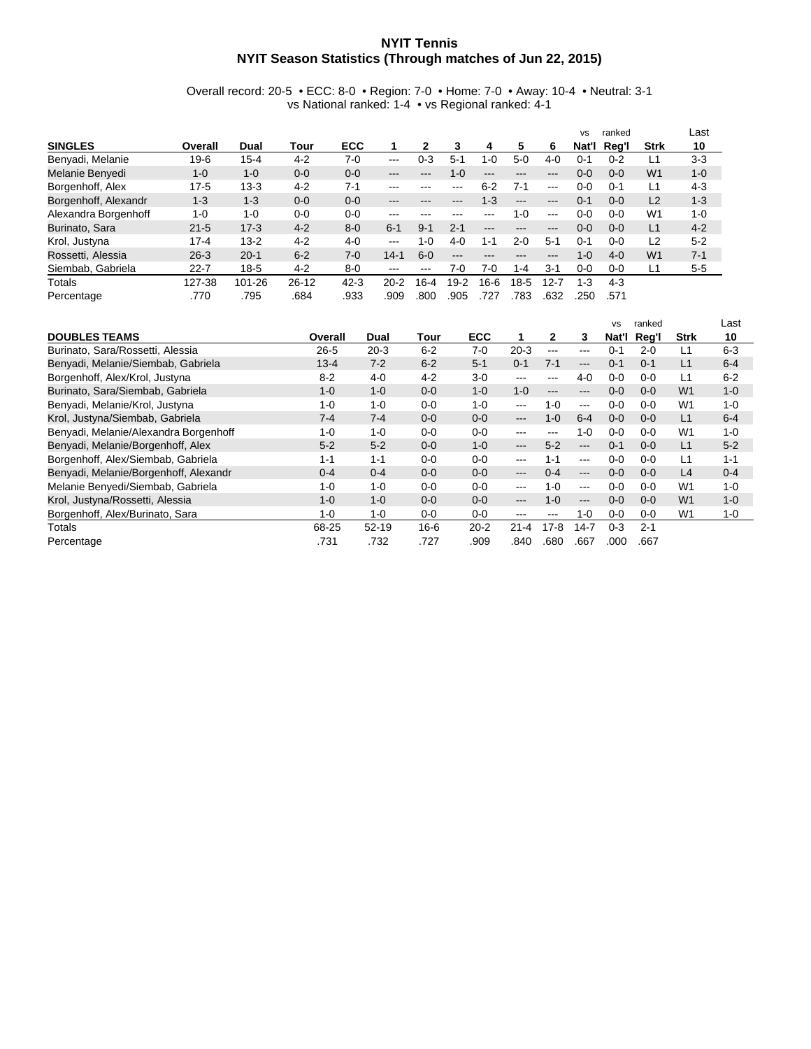## **NYIT Tennis NYIT Season Statistics (Through matches of Jun 22, 2015)**

Overall record: 20-5 • ECC: 8-0 • Region: 7-0 • Home: 7-0 • Away: 10-4 • Neutral: 3-1 vs National ranked: 1-4 • vs Regional ranked: 4-1

|                      |          |          |           |          |                                                                                                |          |         |         |                        |                   | <b>VS</b> | ranked  |                | Last    |
|----------------------|----------|----------|-----------|----------|------------------------------------------------------------------------------------------------|----------|---------|---------|------------------------|-------------------|-----------|---------|----------------|---------|
| <b>SINGLES</b>       | Overall  | Dual     | Tour      | ECC      |                                                                                                | 2        | 3       | 4       | 5                      | 6                 | Nat'l     | Reg'l   | Strk           | 10      |
| Benyadi, Melanie     | $19-6$   | $15 - 4$ | $4 - 2$   | $7-0$    | $--$                                                                                           | $0 - 3$  | $5-1$   | $1 - 0$ | $5-0$                  | $4-0$             | $() - 1$  | $0 - 2$ |                | $3-3$   |
| Melanie Benyedi      | $1 - 0$  | $1 - 0$  | $0 - 0$   | $0 - 0$  | ---                                                                                            | ---      | $1 - 0$ | $- - -$ | ---                    | ---               | $0 - 0$   | $0 - 0$ | W <sub>1</sub> | $1 - 0$ |
| Borgenhoff, Alex     | $17 - 5$ | $13 - 3$ | $4 - 2$   | $7 - 1$  | ---                                                                                            | ---      | $---$   | $6 - 2$ | $7 - 1$                | $---$             | $0 - 0$   | $0 - 1$ | L1             | $4 - 3$ |
| Borgenhoff, Alexandr | $1 - 3$  | $1 - 3$  | $0 - 0$   | $0 - 0$  | ---                                                                                            | ---      |         | $1 - 3$ | $\qquad \qquad \cdots$ | $\qquad \qquad -$ | $0 - 1$   | $0 - 0$ | L <sub>2</sub> | $1 - 3$ |
| Alexandra Borgenhoff | $1 - 0$  | $1 - 0$  | $0 - 0$   | $0 - 0$  | ---                                                                                            | ---      |         | ---     | $1 - 0$                | $\frac{1}{2}$     | $0 - 0$   | $0 - 0$ | W <sub>1</sub> | $1 - 0$ |
| Burinato, Sara       | $21 - 5$ | $17-3$   | $4 - 2$   | $8 - 0$  | $6 - 1$                                                                                        | $9 - 1$  | $2 - 1$ | $-- -$  | ---                    | ---               | $0 - 0$   | $0 - 0$ | L1             | $4 - 2$ |
| Krol, Justyna        | $17 - 4$ | $13 - 2$ | $4 - 2$   | $4 - 0$  | $\frac{1}{2} \left( \frac{1}{2} \right) \left( \frac{1}{2} \right) \left( \frac{1}{2} \right)$ | $1 - 0$  | $4-0$   | $1 - 1$ | $2 - 0$                | $5-1$             | $0 - 1$   | $0 - 0$ | L <sub>2</sub> | $5 - 2$ |
| Rossetti, Alessia    | $26 - 3$ | $20 - 1$ | $6 - 2$   | $7-0$    | $14 - 1$                                                                                       | $6-0$    | ---     | $- - -$ | ---                    | ---               | $1 - 0$   | $4 - 0$ | W <sub>1</sub> | $7 - 1$ |
| Siembab, Gabriela    | $22 - 7$ | $18 - 5$ | $4 - 2$   | $8 - 0$  | ---                                                                                            | ---      | 7-0     | 7-0     | $1 - 4$                | $3 - 1$           | 0-0       | $0 - 0$ | L1             | $5 - 5$ |
| Totals               | 127-38   | 101-26   | $26 - 12$ | $42 - 3$ | $20 - 2$                                                                                       | $16 - 4$ | $19-2$  | $16-6$  | $18-5$                 | $12 - 7$          | $1 - 3$   | $4-3$   |                |         |
| Percentage           | .770     | .795     | .684      | .933     | .909                                                                                           | .800     | .905    | 727     | 783                    | .632              | .250      | .571    |                |         |

|                                       |          |           |          |            |          |                   |          | <b>VS</b> | ranked  |                | Last    |
|---------------------------------------|----------|-----------|----------|------------|----------|-------------------|----------|-----------|---------|----------------|---------|
| <b>DOUBLES TEAMS</b>                  | Overall  | Dual      | Tour     | <b>ECC</b> | 1.       | $\mathbf{2}$      | 3        | Nat'l     | Reg'l   | <b>Strk</b>    | 10      |
| Burinato, Sara/Rossetti, Alessia      | $26 - 5$ | $20-3$    | $6 - 2$  | $7-0$      | $20 - 3$ | $---$             | $---$    | $0 - 1$   | $2 - 0$ | L1             | $6-3$   |
| Benyadi, Melanie/Siembab, Gabriela    | $13 - 4$ | $7 - 2$   | $6 - 2$  | $5 - 1$    | $0 - 1$  | $7 - 1$           | ---      | $0 - 1$   | $0 - 1$ | L1             | $6 - 4$ |
| Borgenhoff, Alex/Krol, Justyna        | $8 - 2$  | $4-0$     | $4 - 2$  | $3-0$      | ---      | ---               | $4 - 0$  | $0 - 0$   | $0 - 0$ | L1             | $6 - 2$ |
| Burinato, Sara/Siembab, Gabriela      | $1 - 0$  | $1 - 0$   | $0 - 0$  | $1 - 0$    | $1 - 0$  | $---$             | ---      | $0 - 0$   | $0 - 0$ | W <sub>1</sub> | $1 - 0$ |
| Benyadi, Melanie/Krol, Justyna        | $1 - 0$  | $1 - 0$   | $0 - 0$  | $1 - 0$    | ---      | $1 - 0$           | $\cdots$ | $0 - 0$   | $0 - 0$ | W <sub>1</sub> | $1 - 0$ |
| Krol, Justyna/Siembab, Gabriela       | $7 - 4$  | $7 - 4$   | $0 - 0$  | $0 - 0$    | ---      | $1 - 0$           | $6 - 4$  | $0 - 0$   | $0 - 0$ | L1             | $6 - 4$ |
| Benyadi, Melanie/Alexandra Borgenhoff | $1 - 0$  | $1 - 0$   | $0 - 0$  | $0 - 0$    | ---      | $\qquad \qquad -$ | $1 - 0$  | $0 - 0$   | $0 - 0$ | W <sub>1</sub> | $1 - 0$ |
| Benyadi, Melanie/Borgenhoff, Alex     | $5 - 2$  | $5 - 2$   | $0 - 0$  | $1 - 0$    | $---$    | $5 - 2$           | $---$    | $0 - 1$   | $0 - 0$ | L1             | $5 - 2$ |
| Borgenhoff, Alex/Siembab, Gabriela    | $1 - 1$  | $1 - 1$   | $0 - 0$  | $0 - 0$    | ---      | $1 - 1$           | $--$     | $0 - 0$   | $0 - 0$ | L1             | $1 - 1$ |
| Benyadi, Melanie/Borgenhoff, Alexandr | $0 - 4$  | $0 - 4$   | $0 - 0$  | $0 - 0$    | ---      | $0 - 4$           | ---      | $0 - 0$   | $0 - 0$ | L4             | $0 - 4$ |
| Melanie Benyedi/Siembab, Gabriela     | $1 - 0$  | $1 - 0$   | $0 - 0$  | $0 - 0$    | $- - -$  | $1 - 0$           | $--$     | $0 - 0$   | $0 - 0$ | W <sub>1</sub> | $1 - 0$ |
| Krol, Justyna/Rossetti, Alessia       | $1 - 0$  | $1 - 0$   | $0 - 0$  | $0 - 0$    | ---      | $1 - 0$           | $---$    | $0 - 0$   | $0 - 0$ | W <sub>1</sub> | $1 - 0$ |
| Borgenhoff, Alex/Burinato, Sara       | $1 - 0$  | $1 - 0$   | $0-0$    | $0 - 0$    | ---      | ---               | $1 - 0$  | $0-0$     | $0 - 0$ | W <sub>1</sub> | 1-0     |
| Totals                                | 68-25    | $52 - 19$ | $16 - 6$ | $20 - 2$   | $21 - 4$ | $17-8$            | $14 - 7$ | $0 - 3$   | $2 - 1$ |                |         |
| Percentage                            | .731     | .732      | .727     | .909       | .840     | .680              | .667     | .000      | .667    |                |         |